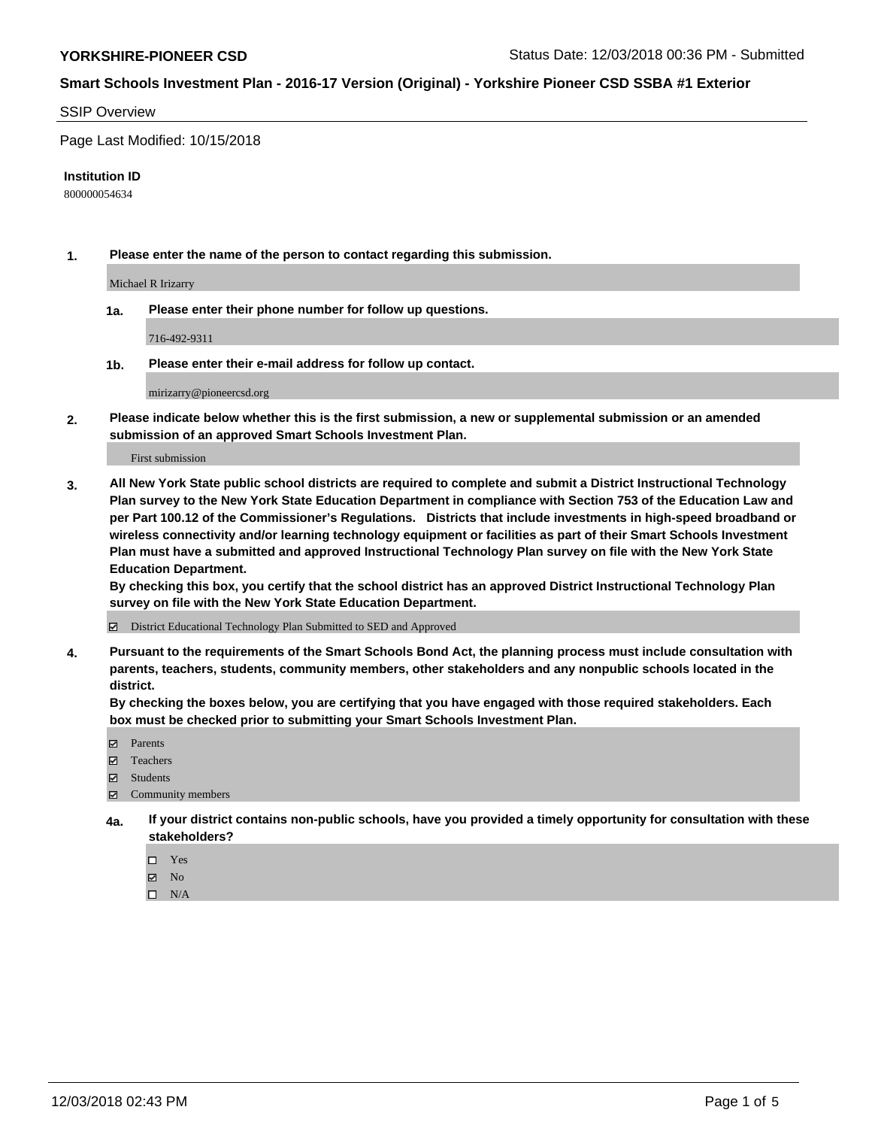### SSIP Overview

Page Last Modified: 10/15/2018

#### **Institution ID**

800000054634

**1. Please enter the name of the person to contact regarding this submission.**

Michael R Irizarry

**1a. Please enter their phone number for follow up questions.**

716-492-9311

**1b. Please enter their e-mail address for follow up contact.**

mirizarry@pioneercsd.org

**2. Please indicate below whether this is the first submission, a new or supplemental submission or an amended submission of an approved Smart Schools Investment Plan.**

First submission

**3. All New York State public school districts are required to complete and submit a District Instructional Technology Plan survey to the New York State Education Department in compliance with Section 753 of the Education Law and per Part 100.12 of the Commissioner's Regulations. Districts that include investments in high-speed broadband or wireless connectivity and/or learning technology equipment or facilities as part of their Smart Schools Investment Plan must have a submitted and approved Instructional Technology Plan survey on file with the New York State Education Department.** 

**By checking this box, you certify that the school district has an approved District Instructional Technology Plan survey on file with the New York State Education Department.**

District Educational Technology Plan Submitted to SED and Approved

**4. Pursuant to the requirements of the Smart Schools Bond Act, the planning process must include consultation with parents, teachers, students, community members, other stakeholders and any nonpublic schools located in the district.** 

**By checking the boxes below, you are certifying that you have engaged with those required stakeholders. Each box must be checked prior to submitting your Smart Schools Investment Plan.**

- **□** Parents
- Teachers
- Students
- $\boxtimes$  Community members
- **4a. If your district contains non-public schools, have you provided a timely opportunity for consultation with these stakeholders?**
	- $\Box$  Yes
	- $\boxtimes$  No
	- $\square$  N/A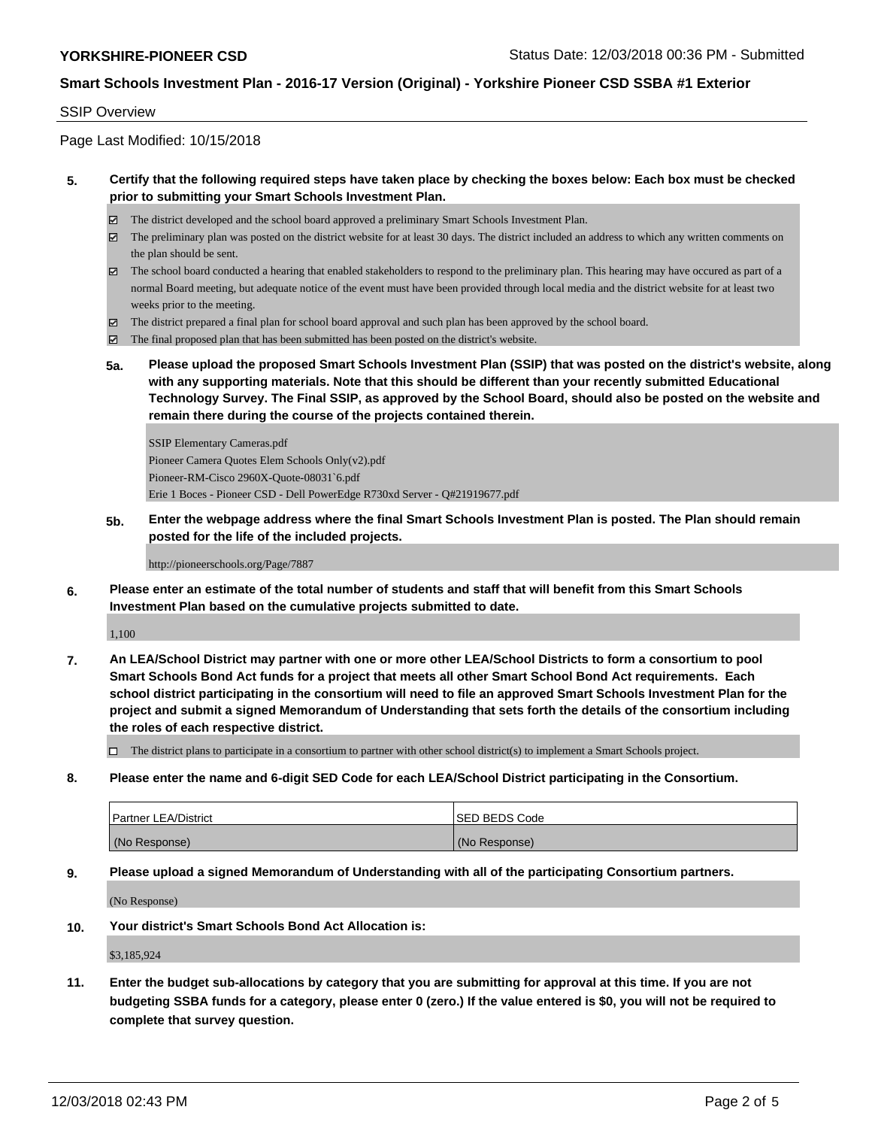## SSIP Overview

Page Last Modified: 10/15/2018

## **5. Certify that the following required steps have taken place by checking the boxes below: Each box must be checked prior to submitting your Smart Schools Investment Plan.**

- The district developed and the school board approved a preliminary Smart Schools Investment Plan.
- $\boxtimes$  The preliminary plan was posted on the district website for at least 30 days. The district included an address to which any written comments on the plan should be sent.
- $\boxtimes$  The school board conducted a hearing that enabled stakeholders to respond to the preliminary plan. This hearing may have occured as part of a normal Board meeting, but adequate notice of the event must have been provided through local media and the district website for at least two weeks prior to the meeting.
- The district prepared a final plan for school board approval and such plan has been approved by the school board.
- $\boxtimes$  The final proposed plan that has been submitted has been posted on the district's website.
- **5a. Please upload the proposed Smart Schools Investment Plan (SSIP) that was posted on the district's website, along with any supporting materials. Note that this should be different than your recently submitted Educational Technology Survey. The Final SSIP, as approved by the School Board, should also be posted on the website and remain there during the course of the projects contained therein.**

SSIP Elementary Cameras.pdf Pioneer Camera Quotes Elem Schools Only(v2).pdf Pioneer-RM-Cisco 2960X-Quote-08031`6.pdf Erie 1 Boces - Pioneer CSD - Dell PowerEdge R730xd Server - Q#21919677.pdf

**5b. Enter the webpage address where the final Smart Schools Investment Plan is posted. The Plan should remain posted for the life of the included projects.**

#### http://pioneerschools.org/Page/7887

**6. Please enter an estimate of the total number of students and staff that will benefit from this Smart Schools Investment Plan based on the cumulative projects submitted to date.**

1,100

**7. An LEA/School District may partner with one or more other LEA/School Districts to form a consortium to pool Smart Schools Bond Act funds for a project that meets all other Smart School Bond Act requirements. Each school district participating in the consortium will need to file an approved Smart Schools Investment Plan for the project and submit a signed Memorandum of Understanding that sets forth the details of the consortium including the roles of each respective district.**

 $\Box$  The district plans to participate in a consortium to partner with other school district(s) to implement a Smart Schools project.

**8. Please enter the name and 6-digit SED Code for each LEA/School District participating in the Consortium.**

| <b>Partner LEA/District</b> | <b>ISED BEDS Code</b> |
|-----------------------------|-----------------------|
| (No Response)               | (No Response)         |

#### **9. Please upload a signed Memorandum of Understanding with all of the participating Consortium partners.**

(No Response)

**10. Your district's Smart Schools Bond Act Allocation is:**

\$3,185,924

**11. Enter the budget sub-allocations by category that you are submitting for approval at this time. If you are not budgeting SSBA funds for a category, please enter 0 (zero.) If the value entered is \$0, you will not be required to complete that survey question.**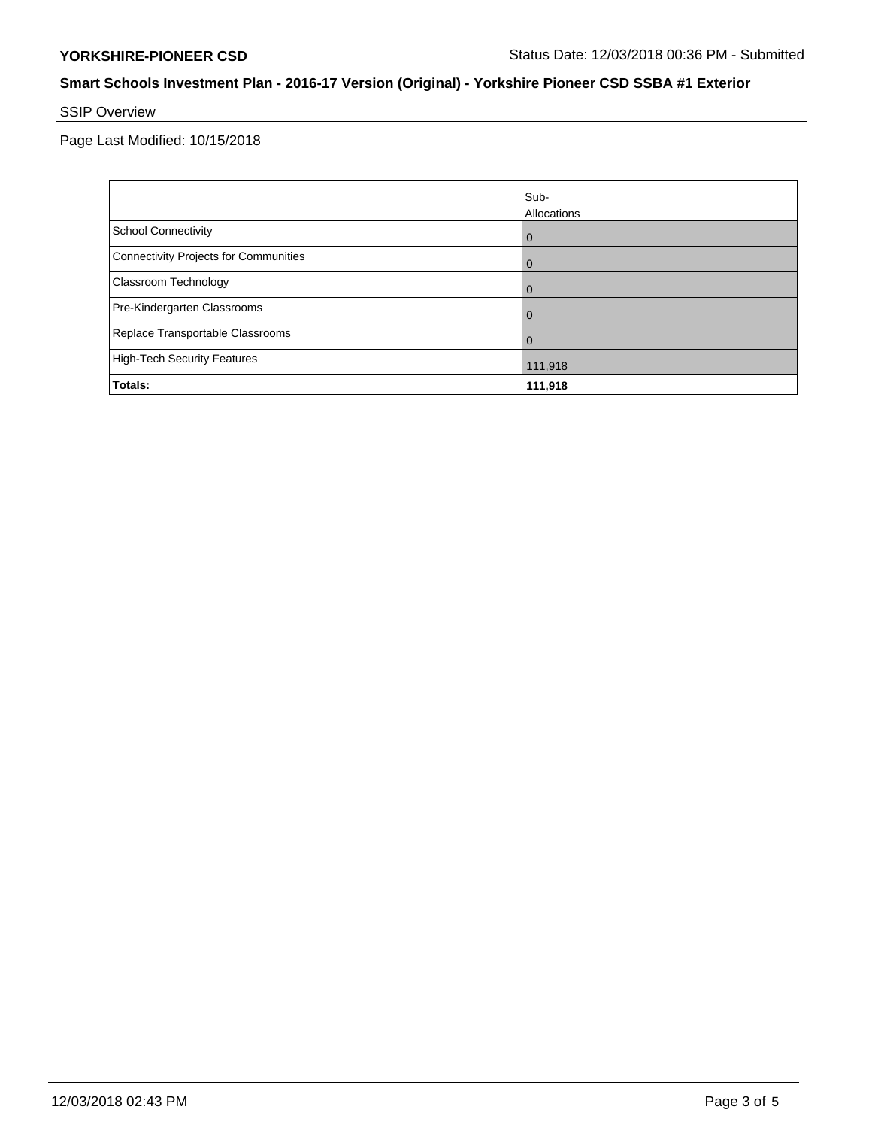# SSIP Overview

Page Last Modified: 10/15/2018

|                                       | Sub-<br>Allocations |
|---------------------------------------|---------------------|
| <b>School Connectivity</b>            | $\overline{0}$      |
| Connectivity Projects for Communities | $\mathbf 0$         |
| <b>Classroom Technology</b>           | $\overline{0}$      |
| Pre-Kindergarten Classrooms           | 0                   |
| Replace Transportable Classrooms      | $\Omega$            |
| High-Tech Security Features           | 111,918             |
| Totals:                               | 111,918             |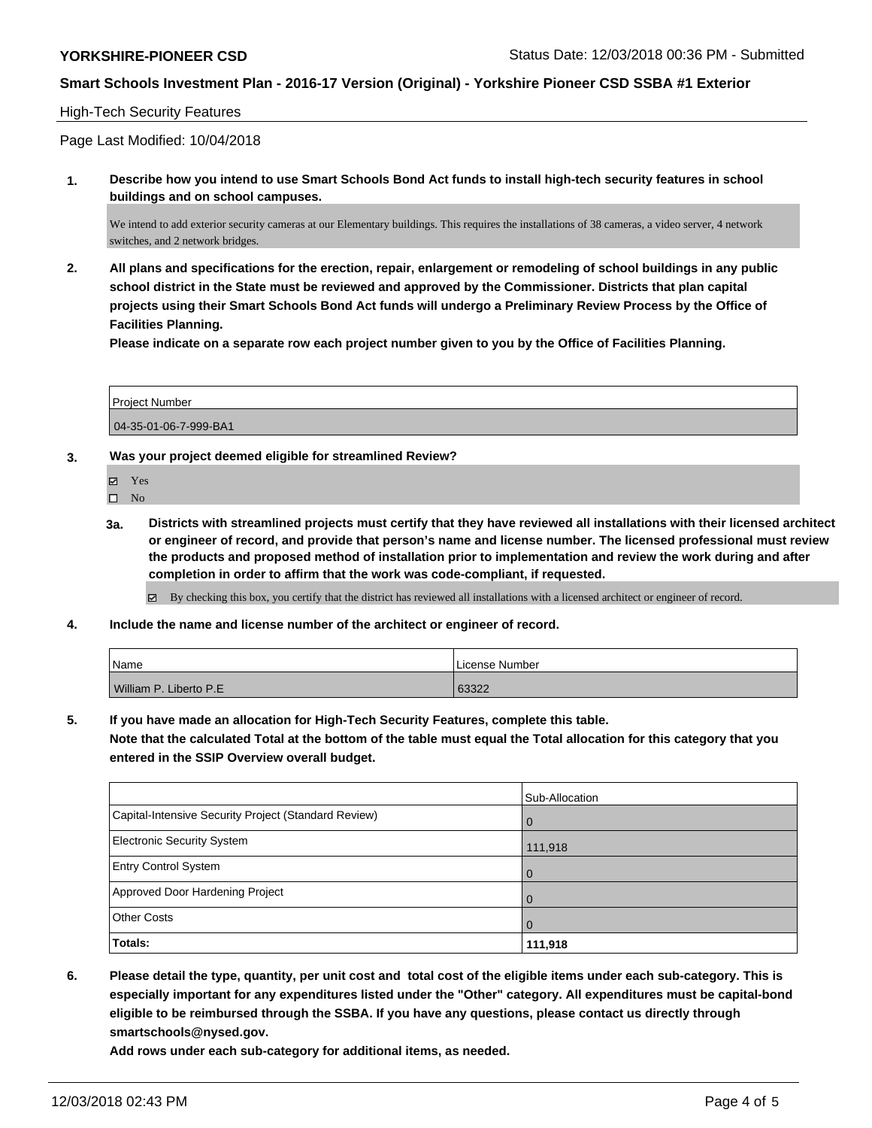## High-Tech Security Features

Page Last Modified: 10/04/2018

**1. Describe how you intend to use Smart Schools Bond Act funds to install high-tech security features in school buildings and on school campuses.**

We intend to add exterior security cameras at our Elementary buildings. This requires the installations of 38 cameras, a video server, 4 network switches, and 2 network bridges.

**2. All plans and specifications for the erection, repair, enlargement or remodeling of school buildings in any public school district in the State must be reviewed and approved by the Commissioner. Districts that plan capital projects using their Smart Schools Bond Act funds will undergo a Preliminary Review Process by the Office of Facilities Planning.** 

**Please indicate on a separate row each project number given to you by the Office of Facilities Planning.**

| Project Number        |  |
|-----------------------|--|
| 04-35-01-06-7-999-BA1 |  |

**3. Was your project deemed eligible for streamlined Review?**

Yes

- $\square$  No
- **3a. Districts with streamlined projects must certify that they have reviewed all installations with their licensed architect or engineer of record, and provide that person's name and license number. The licensed professional must review the products and proposed method of installation prior to implementation and review the work during and after completion in order to affirm that the work was code-compliant, if requested.**

 $\boxtimes$  By checking this box, you certify that the district has reviewed all installations with a licensed architect or engineer of record.

**4. Include the name and license number of the architect or engineer of record.**

| Name                   | License Number |
|------------------------|----------------|
| William P. Liberto P.E | 63322          |

**5. If you have made an allocation for High-Tech Security Features, complete this table.**

**Note that the calculated Total at the bottom of the table must equal the Total allocation for this category that you entered in the SSIP Overview overall budget.**

|                                                      | Sub-Allocation |
|------------------------------------------------------|----------------|
| Capital-Intensive Security Project (Standard Review) | $\Omega$       |
| <b>Electronic Security System</b>                    | 111,918        |
| <b>Entry Control System</b>                          | $\mathbf 0$    |
| Approved Door Hardening Project                      | 0              |
| <b>Other Costs</b>                                   | $\Omega$       |
| Totals:                                              | 111,918        |

**6. Please detail the type, quantity, per unit cost and total cost of the eligible items under each sub-category. This is especially important for any expenditures listed under the "Other" category. All expenditures must be capital-bond eligible to be reimbursed through the SSBA. If you have any questions, please contact us directly through smartschools@nysed.gov.**

**Add rows under each sub-category for additional items, as needed.**